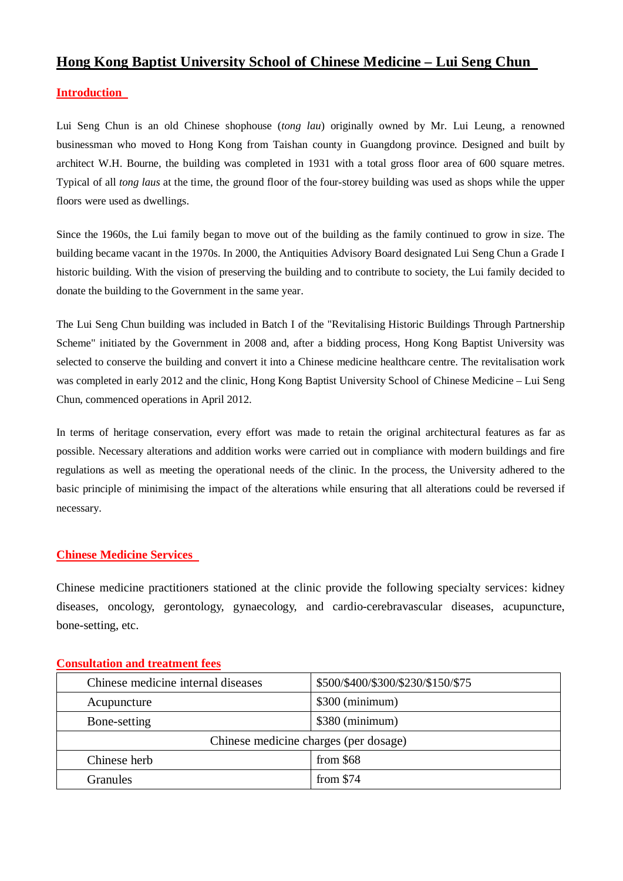## **Hong Kong Baptist University School of Chinese Medicine – Lui Seng Chun**

### **Introduction**

Lui Seng Chun is an old Chinese shophouse (*tong lau*) originally owned by Mr. Lui Leung, a renowned businessman who moved to Hong Kong from Taishan county in Guangdong province. Designed and built by architect W.H. Bourne, the building was completed in 1931 with a total gross floor area of 600 square metres. Typical of all *tong laus* at the time, the ground floor of the four-storey building was used as shops while the upper floors were used as dwellings.

Since the 1960s, the Lui family began to move out of the building as the family continued to grow in size. The building became vacant in the 1970s. In 2000, the Antiquities Advisory Board designated Lui Seng Chun a Grade I historic building. With the vision of preserving the building and to contribute to society, the Lui family decided to donate the building to the Government in the same year.

The Lui Seng Chun building was included in Batch I of the "Revitalising Historic Buildings Through Partnership Scheme" initiated by the Government in 2008 and, after a bidding process, Hong Kong Baptist University was selected to conserve the building and convert it into a Chinese medicine healthcare centre. The revitalisation work was completed in early 2012 and the clinic, Hong Kong Baptist University School of Chinese Medicine – Lui Seng Chun, commenced operations in April 2012.

In terms of heritage conservation, every effort was made to retain the original architectural features as far as possible. Necessary alterations and addition works were carried out in compliance with modern buildings and fire regulations as well as meeting the operational needs of the clinic. In the process, the University adhered to the basic principle of minimising the impact of the alterations while ensuring that all alterations could be reversed if necessary.

### **Chinese Medicine Services**

Chinese medicine practitioners stationed at the clinic provide the following specialty services: kidney diseases, oncology, gerontology, gynaecology, and cardio-cerebravascular diseases, acupuncture, bone-setting, etc.

| Chinese medicine internal diseases    | \$500/\$400/\$300/\$230/\$150/\$75 |  |
|---------------------------------------|------------------------------------|--|
| Acupuncture                           | \$300 (minimum)                    |  |
| Bone-setting                          | \$380 (minimum)                    |  |
| Chinese medicine charges (per dosage) |                                    |  |
| Chinese herb                          | from $$68$                         |  |
| <b>Granules</b>                       | from $$74$                         |  |

#### **Consultation and treatment fees**